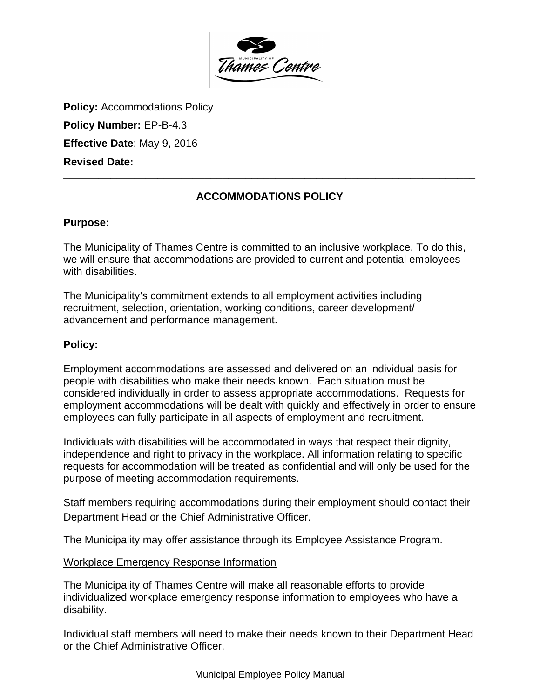

**Policy: Accommodations Policy** 

**Policy Number:** EP-B-4.3

**Effective Date**: May 9, 2016

**Revised Date:** 

# **ACCOMMODATIONS POLICY**

**\_\_\_\_\_\_\_\_\_\_\_\_\_\_\_\_\_\_\_\_\_\_\_\_\_\_\_\_\_\_\_\_\_\_\_\_\_\_\_\_\_\_\_\_\_\_\_\_\_\_\_\_\_\_\_\_\_\_\_\_\_\_\_\_\_\_\_\_\_\_**

## **Purpose:**

The Municipality of Thames Centre is committed to an inclusive workplace. To do this, we will ensure that accommodations are provided to current and potential employees with disabilities.

The Municipality's commitment extends to all employment activities including recruitment, selection, orientation, working conditions, career development/ advancement and performance management.

## **Policy:**

Employment accommodations are assessed and delivered on an individual basis for people with disabilities who make their needs known. Each situation must be considered individually in order to assess appropriate accommodations. Requests for employment accommodations will be dealt with quickly and effectively in order to ensure employees can fully participate in all aspects of employment and recruitment.

Individuals with disabilities will be accommodated in ways that respect their dignity, independence and right to privacy in the workplace. All information relating to specific requests for accommodation will be treated as confidential and will only be used for the purpose of meeting accommodation requirements.

Staff members requiring accommodations during their employment should contact their Department Head or the Chief Administrative Officer.

The Municipality may offer assistance through its Employee Assistance Program.

## Workplace Emergency Response Information

The Municipality of Thames Centre will make all reasonable efforts to provide individualized workplace emergency response information to employees who have a disability.

Individual staff members will need to make their needs known to their Department Head or the Chief Administrative Officer.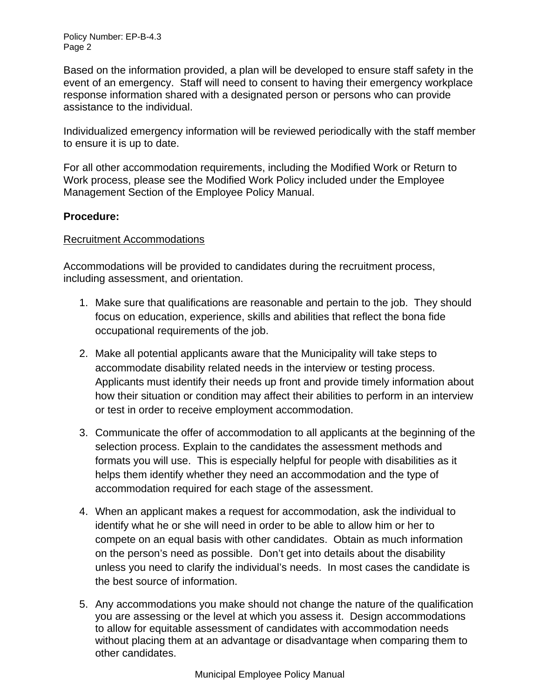Policy Number: EP-B-4.3 Page 2

Based on the information provided, a plan will be developed to ensure staff safety in the event of an emergency. Staff will need to consent to having their emergency workplace response information shared with a designated person or persons who can provide assistance to the individual.

Individualized emergency information will be reviewed periodically with the staff member to ensure it is up to date.

For all other accommodation requirements, including the Modified Work or Return to Work process, please see the Modified Work Policy included under the Employee Management Section of the Employee Policy Manual.

## **Procedure:**

#### Recruitment Accommodations

Accommodations will be provided to candidates during the recruitment process, including assessment, and orientation.

- 1. Make sure that qualifications are reasonable and pertain to the job. They should focus on education, experience, skills and abilities that reflect the bona fide occupational requirements of the job.
- 2. Make all potential applicants aware that the Municipality will take steps to accommodate disability related needs in the interview or testing process. Applicants must identify their needs up front and provide timely information about how their situation or condition may affect their abilities to perform in an interview or test in order to receive employment accommodation.
- 3. Communicate the offer of accommodation to all applicants at the beginning of the selection process. Explain to the candidates the assessment methods and formats you will use. This is especially helpful for people with disabilities as it helps them identify whether they need an accommodation and the type of accommodation required for each stage of the assessment.
- 4. When an applicant makes a request for accommodation, ask the individual to identify what he or she will need in order to be able to allow him or her to compete on an equal basis with other candidates. Obtain as much information on the person's need as possible. Don't get into details about the disability unless you need to clarify the individual's needs. In most cases the candidate is the best source of information.
- 5. Any accommodations you make should not change the nature of the qualification you are assessing or the level at which you assess it. Design accommodations to allow for equitable assessment of candidates with accommodation needs without placing them at an advantage or disadvantage when comparing them to other candidates.